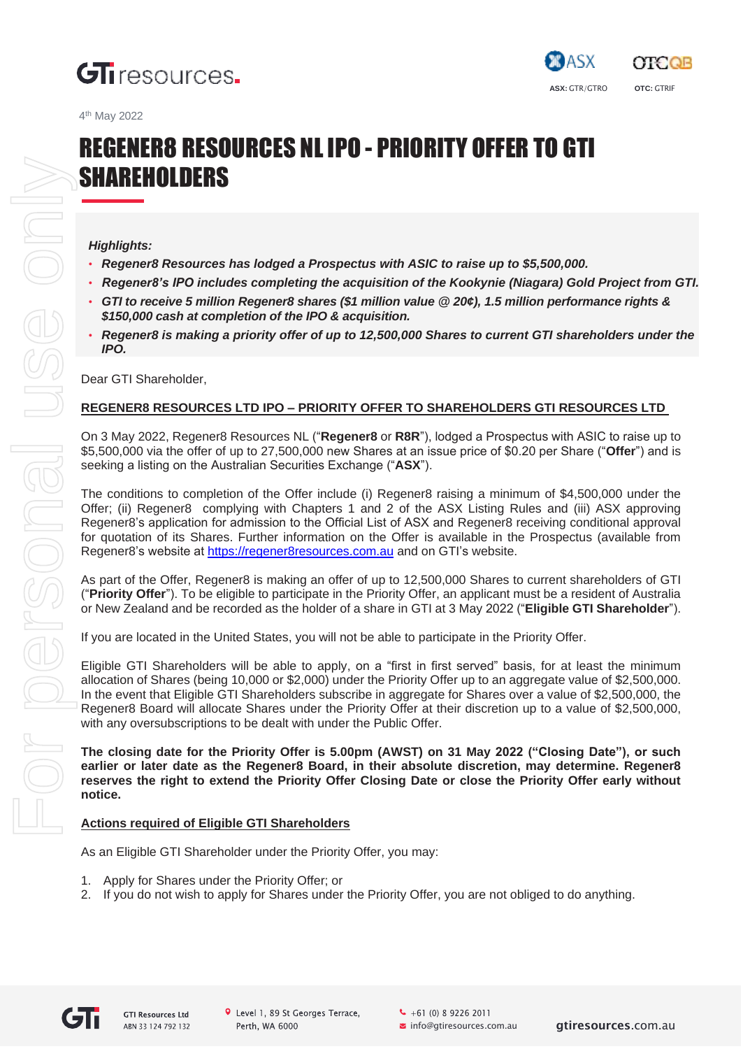





# REGENER8 RESOURCES NLIPO - PRIORITY OFFER TO GTI **SHAREHOLDERS**

## *Highlights:*

- *• Regener8 Resources has lodged a Prospectus with ASIC to raise up to \$5,500,000.*
- *• Regener8's IPO includes completing the acquisition of the Kookynie (Niagara) Gold Project from GTI.*
- *• GTI to receive 5 million Regener8 shares (\$1 million value @ 20¢), 1.5 million performance rights & \$150,000 cash at completion of the IPO & acquisition.*
- *• Regener8 is making a priority offer of up to 12,500,000 Shares to current GTI shareholders under the IPO.*

Dear GTI Shareholder,

# **REGENER8 RESOURCES LTD IPO – PRIORITY OFFER TO SHAREHOLDERS GTI RESOURCES LTD**

On 3 May 2022, Regener8 Resources NL ("**Regener8** or **R8R**"), lodged a Prospectus with ASIC to raise up to \$5,500,000 via the offer of up to 27,500,000 new Shares at an issue price of \$0.20 per Share ("**Offer**") and is seeking a listing on the Australian Securities Exchange ("**ASX**").

The conditions to completion of the Offer include (i) Regener8 raising a minimum of \$4,500,000 under the Offer; (ii) Regener8 complying with Chapters 1 and 2 of the ASX Listing Rules and (iii) ASX approving Regener8's application for admission to the Official List of ASX and Regener8 receiving conditional approval for quotation of its Shares. Further information on the Offer is available in the Prospectus (available from Regener8's website at https://regener8resources.com.au and on GTI's website.

As part of the Offer, Regener8 is making an offer of up to 12,500,000 Shares to current shareholders of GTI ("**Priority Offer**"). To be eligible to participate in the Priority Offer, an applicant must be a resident of Australia or New Zealand and be recorded as the holder of a share in GTI at 3 May 2022 ("**Eligible GTI Shareholder**").

If you are located in the United States, you will not be able to participate in the Priority Offer.

Eligible GTI Shareholders will be able to apply, on a "first in first served" basis, for at least the minimum allocation of Shares (being 10,000 or \$2,000) under the Priority Offer up to an aggregate value of \$2,500,000. In the event that Eligible GTI Shareholders subscribe in aggregate for Shares over a value of \$2,500,000, the Regener8 Board will allocate Shares under the Priority Offer at their discretion up to a value of \$2,500,000, with any oversubscriptions to be dealt with under the Public Offer.

**The closing date for the Priority Offer is 5.00pm (AWST) on 31 May 2022 ("Closing Date"), or such earlier or later date as the Regener8 Board, in their absolute discretion, may determine. Regener8 reserves the right to extend the Priority Offer Closing Date or close the Priority Offer early without notice.**

## **Actions required of Eligible GTI Shareholders**

As an Eligible GTI Shareholder under the Priority Offer, you may:

- 1. Apply for Shares under the Priority Offer; or
- 2. If you do not wish to apply for Shares under the Priority Offer, you are not obliged to do anything.



 $-61(0) 892262011$